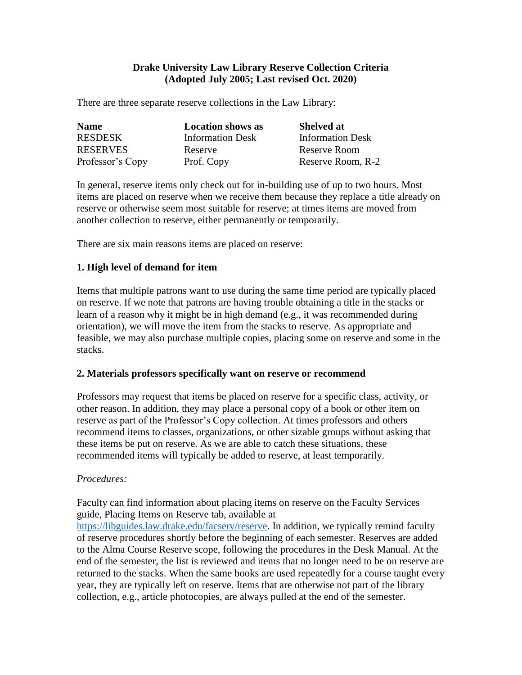## **Drake University Law Library Reserve Collection Criteria (Adopted July 2005; Last revised Oct. 2020)**

There are three separate reserve collections in the Law Library:

| <b>Name</b>      | <b>Location shows as</b> | <b>Shelved at</b>       |
|------------------|--------------------------|-------------------------|
| <b>RESDESK</b>   | <b>Information Desk</b>  | <b>Information Desk</b> |
| <b>RESERVES</b>  | Reserve                  | Reserve Room            |
| Professor's Copy | Prof. Copy               | Reserve Room, R-2       |

In general, reserve items only check out for in-building use of up to two hours. Most items are placed on reserve when we receive them because they replace a title already on reserve or otherwise seem most suitable for reserve; at times items are moved from another collection to reserve, either permanently or temporarily.

There are six main reasons items are placed on reserve:

### **1. High level of demand for item**

Items that multiple patrons want to use during the same time period are typically placed on reserve. If we note that patrons are having trouble obtaining a title in the stacks or learn of a reason why it might be in high demand (e.g., it was recommended during orientation), we will move the item from the stacks to reserve. As appropriate and feasible, we may also purchase multiple copies, placing some on reserve and some in the stacks.

### **2. Materials professors specifically want on reserve or recommend**

Professors may request that items be placed on reserve for a specific class, activity, or other reason. In addition, they may place a personal copy of a book or other item on reserve as part of the Professor's Copy collection. At times professors and others recommend items to classes, organizations, or other sizable groups without asking that these items be put on reserve. As we are able to catch these situations, these recommended items will typically be added to reserve, at least temporarily.

### *Procedures:*

Faculty can find information about placing items on reserve on the Faculty Services guide, Placing Items on Reserve tab, available at

[https://libguides.law.drake.edu/facserv/reserve.](https://libguides.law.drake.edu/facserv/reserve) In addition, we typically remind faculty of reserve procedures shortly before the beginning of each semester. Reserves are added to the Alma Course Reserve scope, following the procedures in the Desk Manual. At the end of the semester, the list is reviewed and items that no longer need to be on reserve are returned to the stacks. When the same books are used repeatedly for a course taught every year, they are typically left on reserve. Items that are otherwise not part of the library collection, e.g., article photocopies, are always pulled at the end of the semester.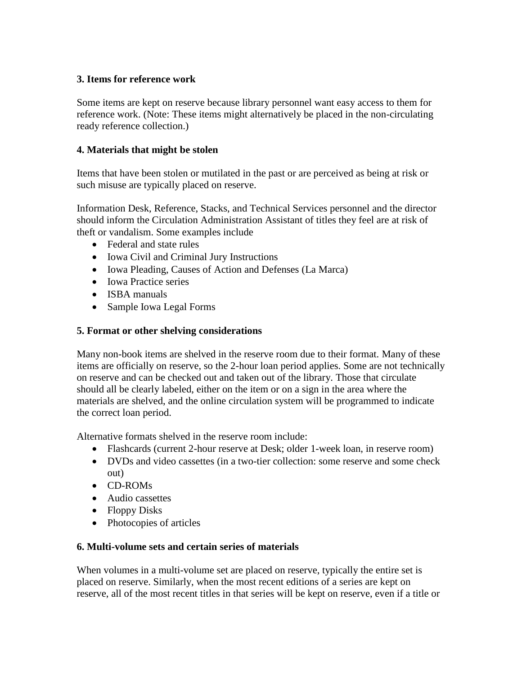# **3. Items for reference work**

Some items are kept on reserve because library personnel want easy access to them for reference work. (Note: These items might alternatively be placed in the non-circulating ready reference collection.)

# **4. Materials that might be stolen**

Items that have been stolen or mutilated in the past or are perceived as being at risk or such misuse are typically placed on reserve.

Information Desk, Reference, Stacks, and Technical Services personnel and the director should inform the Circulation Administration Assistant of titles they feel are at risk of theft or vandalism. Some examples include

- Federal and state rules
- Iowa Civil and Criminal Jury Instructions
- Iowa Pleading, Causes of Action and Defenses (La Marca)
- Iowa Practice series
- ISBA manuals
- Sample Iowa Legal Forms

# **5. Format or other shelving considerations**

Many non-book items are shelved in the reserve room due to their format. Many of these items are officially on reserve, so the 2-hour loan period applies. Some are not technically on reserve and can be checked out and taken out of the library. Those that circulate should all be clearly labeled, either on the item or on a sign in the area where the materials are shelved, and the online circulation system will be programmed to indicate the correct loan period.

Alternative formats shelved in the reserve room include:

- Flashcards (current 2-hour reserve at Desk; older 1-week loan, in reserve room)
- DVDs and video cassettes (in a two-tier collection: some reserve and some check out)
- CD-ROMs
- Audio cassettes
- Floppy Disks
- Photocopies of articles

# **6. Multi-volume sets and certain series of materials**

When volumes in a multi-volume set are placed on reserve, typically the entire set is placed on reserve. Similarly, when the most recent editions of a series are kept on reserve, all of the most recent titles in that series will be kept on reserve, even if a title or